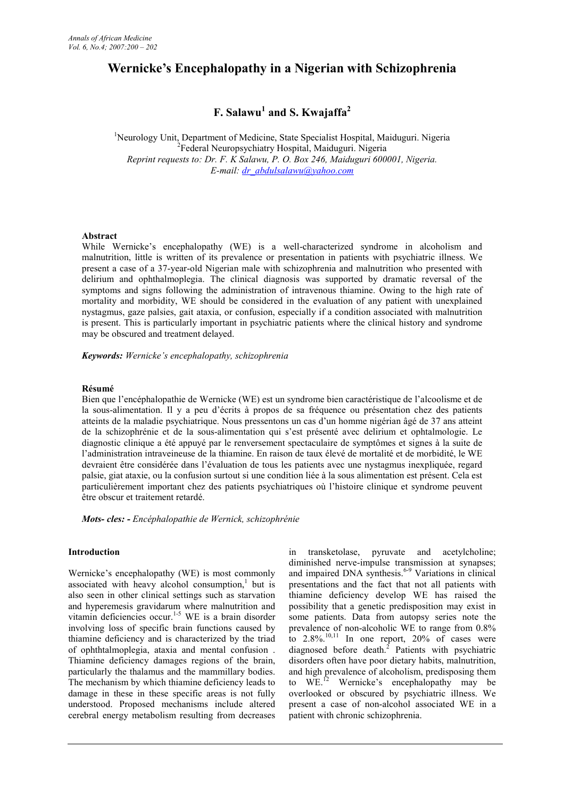# **Wernicke's Encephalopathy in a Nigerian with Schizophrenia**

# **F. Salawu<sup>1</sup> and S. Kwajaffa<sup>2</sup>**

<sup>1</sup>Neurology Unit, Department of Medicine, State Specialist Hospital, Maiduguri. Nigeria <sup>2</sup> Federal Neuropsychiatry Hospital, Maiduguri. Nigeria *Reprint requests to: Dr. F. K Salawu, P. O. Box 246, Maiduguri 600001, Nigeria. E-mail: dr\_abdulsalawu@yahoo.com*

#### **Abstract**

While Wernicke's encephalopathy (WE) is a well-characterized syndrome in alcoholism and malnutrition, little is written of its prevalence or presentation in patients with psychiatric illness. We present a case of a 37-year-old Nigerian male with schizophrenia and malnutrition who presented with delirium and ophthalmoplegia. The clinical diagnosis was supported by dramatic reversal of the symptoms and signs following the administration of intravenous thiamine. Owing to the high rate of mortality and morbidity, WE should be considered in the evaluation of any patient with unexplained nystagmus, gaze palsies, gait ataxia, or confusion, especially if a condition associated with malnutrition is present. This is particularly important in psychiatric patients where the clinical history and syndrome may be obscured and treatment delayed.

*Keywords: Wernicke's encephalopathy, schizophrenia*

#### **Résumé**

Bien que l'encéphalopathie de Wernicke (WE) est un syndrome bien caractéristique de l'alcoolisme et de la sous-alimentation. Il y a peu d'écrits à propos de sa fréquence ou présentation chez des patients atteints de la maladie psychiatrique. Nous pressentons un cas d'un homme nigérian âgé de 37 ans atteint de la schizophrénie et de la sous-alimentation qui s'est présenté avec delirium et ophtalmologie. Le diagnostic clinique a été appuyé par le renversement spectaculaire de symptômes et signes à la suite de l'administration intraveineuse de la thiamine. En raison de taux élevé de mortalité et de morbidité, le WE devraient être considérée dans l'évaluation de tous les patients avec une nystagmus inexpliquée, regard palsie, giat ataxie, ou la confusion surtout si une condition liée à la sous alimentation est présent. Cela est particulièrement important chez des patients psychiatriques où l'histoire clinique et syndrome peuvent être obscur et traitement retardé.

*Mots- cles: - Encéphalopathie de Wernick, schizophrénie*

#### **Introduction**

Wernicke's encephalopathy (WE) is most commonly associated with heavy alcohol consumption,<sup>1</sup> but is p also seen in other clinical settings such as starvation and hyperemesis gravidarum where malnutrition and vitamin deficiencies occur.<sup>1-5</sup> WE is a brain disorder involving loss of specific brain functions caused by thiamine deficiency and is characterized by the triad of ophthtalmoplegia, ataxia and mental confusion . Thiamine deficiency damages regions of the brain, particularly the thalamus and the mammillary bodies. The mechanism by which thiamine deficiency leads to damage in these in these specific areas is not fully understood. Proposed mechanisms include altered cerebral energy metabolism resulting from decreases

in transketolase, pyruvate and acetylcholine; diminished nerve-impulse transmission at synapses; and impaired DNA synthesis.<sup>6-9</sup> Variations in clinical presentations and the fact that not all patients with thiamine deficiency develop WE has raised the possibility that a genetic predisposition may exist in some patients. Data from autopsy series note the prevalence of non-alcoholic WE to range from 0.8% to  $2.8\%$ <sup>10,11</sup> In one report,  $20\%$  of cases were diagnosed before death.<sup>2</sup> Patients with psychiatric disorders often have poor dietary habits, malnutrition, and high prevalence of alcoholism, predisposing them to WE.<sup>12</sup> Wernicke's encephalopathy may be overlooked or obscured by psychiatric illness. We present a case of non-alcohol associated WE in a patient with chronic schizophrenia.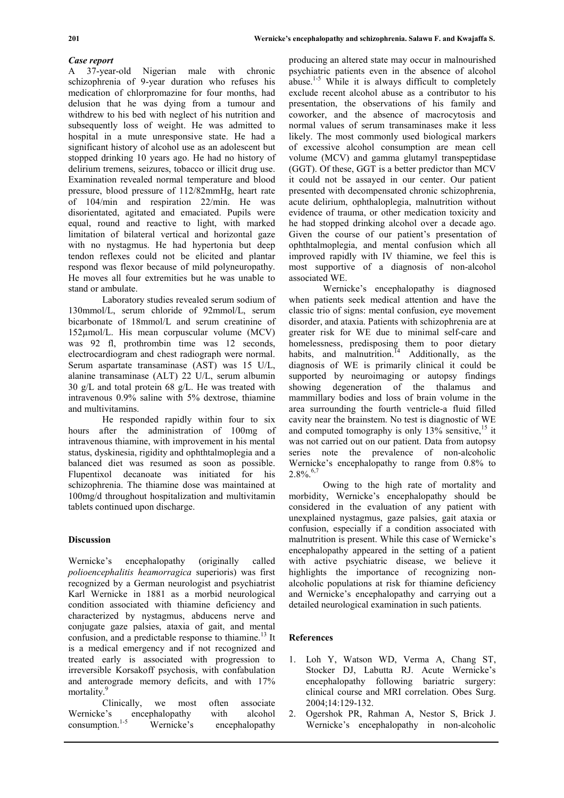### *Case report*

A 37-year-old Nigerian male with chronic schizophrenia of 9-year duration who refuses his medication of chlorpromazine for four months, had delusion that he was dying from a tumour and withdrew to his bed with neglect of his nutrition and subsequently loss of weight. He was admitted to hospital in a mute unresponsive state. He had a significant history of alcohol use as an adolescent but stopped drinking 10 years ago. He had no history of delirium tremens, seizures, tobacco or illicit drug use. Examination revealed normal temperature and blood pressure, blood pressure of 112/82mmHg, heart rate of 104/min and respiration 22/min. He was disorientated, agitated and emaciated. Pupils were equal, round and reactive to light, with marked limitation of bilateral vertical and horizontal gaze with no nystagmus. He had hypertonia but deep tendon reflexes could not be elicited and plantar respond was flexor because of mild polyneuropathy. He moves all four extremities but he was unable to stand or ambulate.

Laboratory studies revealed serum sodium of 130mmol/L, serum chloride of 92mmol/L, serum bicarbonate of 18mmol/L and serum creatinine of 152µmol/L. His mean corpuscular volume (MCV) was 92 fl, prothrombin time was 12 seconds, electrocardiogram and chest radiograph were normal. Serum aspartate transaminase (AST) was 15 U/L, alanine transaminase (ALT) 22 U/L, serum albumin 30 g/L and total protein 68 g/L. He was treated with intravenous 0.9% saline with 5% dextrose, thiamine and multivitamins.

He responded rapidly within four to six hours after the administration of 100mg of intravenous thiamine, with improvement in his mental status, dyskinesia, rigidity and ophthtalmoplegia and a balanced diet was resumed as soon as possible. Flupentixol decanoate was initiated for his schizophrenia. The thiamine dose was maintained at 100mg/d throughout hospitalization and multivitamin tablets continued upon discharge.

## **Discussion**

Wernicke's encephalopathy (originally called *polioencephalitis heamorragica* superioris) was first recognized by a German neurologist and psychiatrist Karl Wernicke in 1881 as a morbid neurological condition associated with thiamine deficiency and characterized by nystagmus, abducens nerve and conjugate gaze palsies, ataxia of gait, and mental confusion, and a predictable response to thiamine.<sup>13</sup> It is a medical emergency and if not recognized and treated early is associated with progression to irreversible Korsakoff psychosis, with confabulation and anterograde memory deficits, and with 17% mortality<sup>9</sup>

| Clinically,        | we             | most | often          | associate |
|--------------------|----------------|------|----------------|-----------|
| Wernicke's         | encephalopathy |      | with           | alcohol   |
| consumption. $1-5$ | Wernicke's     |      | encephalopathy |           |

producing an altered state may occur in malnourished psychiatric patients even in the absence of alcohol abuse.<sup>1-5</sup> While it is always difficult to completely exclude recent alcohol abuse as a contributor to his presentation, the observations of his family and coworker, and the absence of macrocytosis and normal values of serum transaminases make it less likely. The most commonly used biological markers of excessive alcohol consumption are mean cell volume (MCV) and gamma glutamyl transpeptidase (GGT). Of these, GGT is a better predictor than MCV it could not be assayed in our center. Our patient presented with decompensated chronic schizophrenia, acute delirium, ophthaloplegia, malnutrition without evidence of trauma, or other medication toxicity and he had stopped drinking alcohol over a decade ago. Given the course of our patient's presentation of ophthtalmoplegia, and mental confusion which all improved rapidly with IV thiamine, we feel this is most supportive of a diagnosis of non-alcohol associated WE.

Wernicke's encephalopathy is diagnosed when patients seek medical attention and have the classic trio of signs: mental confusion, eye movement disorder, and ataxia. Patients with schizophrenia are at greater risk for WE due to minimal self-care and homelessness, predisposing them to poor dietary habits, and malnutrition.<sup>14</sup> Additionally, as the diagnosis of WE is primarily clinical it could be supported by neuroimaging or autopsy findings showing degeneration of the thalamus and mammillary bodies and loss of brain volume in the area surrounding the fourth ventricle-a fluid filled cavity near the brainstem. No test is diagnostic of WE and computed tomography is only  $13\%$  sensitive,<sup>15</sup> it was not carried out on our patient. Data from autopsy series note the prevalence of non-alcoholic Wernicke's encephalopathy to range from 0.8% to  $2.8\%$ .<sup>6,7</sup>

Owing to the high rate of mortality and morbidity, Wernicke's encephalopathy should be considered in the evaluation of any patient with unexplained nystagmus, gaze palsies, gait ataxia or confusion, especially if a condition associated with malnutrition is present. While this case of Wernicke's encephalopathy appeared in the setting of a patient with active psychiatric disease, we believe it highlights the importance of recognizing nonalcoholic populations at risk for thiamine deficiency and Wernicke's encephalopathy and carrying out a detailed neurological examination in such patients.

### **References**

- 1. Loh Y, Watson WD, Verma A, Chang ST, Stocker DJ, Labutta RJ. Acute Wernicke's encephalopathy following bariatric surgery: clinical course and MRI correlation. Obes Surg. 2004;14:129-132.
- 2. Ogershok PR, Rahman A, Nestor S, Brick J. Wernicke's encephalopathy in non-alcoholic